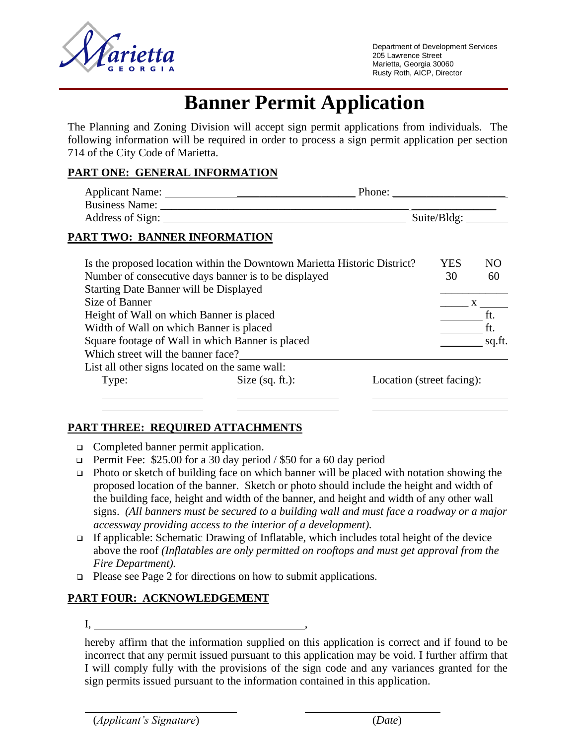

Department of Development Services 205 Lawrence Street Marietta, Georgia 30060 Rusty Roth, AICP, Director

# **Banner Permit Application**

The Planning and Zoning Division will accept sign permit applications from individuals. The following information will be required in order to process a sign permit application per section 714 of the City Code of Marietta.

## **PART ONE: GENERAL INFORMATION**

|                                                                          |                                                                                                                                                                                                                                                    | Phone: |             |        |  |
|--------------------------------------------------------------------------|----------------------------------------------------------------------------------------------------------------------------------------------------------------------------------------------------------------------------------------------------|--------|-------------|--------|--|
|                                                                          | Business Name: Name and Solution of the Solution of the Solution of the Solution of the Solution of the Solution of the Solution of the Solution of the Solution of the Solution of the Solution of the Solution of the Soluti<br>Address of Sign: |        | Suite/Bldg: |        |  |
| PART TWO: BANNER INFORMATION                                             |                                                                                                                                                                                                                                                    |        |             |        |  |
| Is the proposed location within the Downtown Marietta Historic District? |                                                                                                                                                                                                                                                    |        | YES         | NO.    |  |
| Number of consecutive days banner is to be displayed                     |                                                                                                                                                                                                                                                    |        | 30          | 60     |  |
| Starting Date Banner will be Displayed                                   |                                                                                                                                                                                                                                                    |        |             |        |  |
| Size of Banner                                                           |                                                                                                                                                                                                                                                    |        |             |        |  |
| Height of Wall on which Banner is placed                                 |                                                                                                                                                                                                                                                    |        |             | ft.    |  |
| Width of Wall on which Banner is placed                                  |                                                                                                                                                                                                                                                    |        |             |        |  |
| Square footage of Wall in which Banner is placed                         |                                                                                                                                                                                                                                                    |        |             | sq.ft. |  |
| Which street will the banner face?                                       |                                                                                                                                                                                                                                                    |        |             |        |  |
| List all other signs located on the same wall:                           |                                                                                                                                                                                                                                                    |        |             |        |  |
| Type:<br>Size $(sq. ft.)$ :<br>Location (street facing):                 |                                                                                                                                                                                                                                                    |        |             |        |  |
|                                                                          |                                                                                                                                                                                                                                                    |        |             |        |  |

## **PART THREE: REQUIRED ATTACHMENTS**

- ❑ Completed banner permit application.
- ❑ Permit Fee: \$25.00 for a 30 day period / \$50 for a 60 day period
- ❑ Photo or sketch of building face on which banner will be placed with notation showing the proposed location of the banner. Sketch or photo should include the height and width of the building face, height and width of the banner, and height and width of any other wall signs. *(All banners must be secured to a building wall and must face a roadway or a major accessway providing access to the interior of a development).*
- ❑ If applicable: Schematic Drawing of Inflatable, which includes total height of the device above the roof *(Inflatables are only permitted on rooftops and must get approval from the Fire Department).*
- ❑ Please see Page 2 for directions on how to submit applications.

# **PART FOUR: ACKNOWLEDGEMENT**

**I**,

hereby affirm that the information supplied on this application is correct and if found to be incorrect that any permit issued pursuant to this application may be void. I further affirm that I will comply fully with the provisions of the sign code and any variances granted for the sign permits issued pursuant to the information contained in this application.